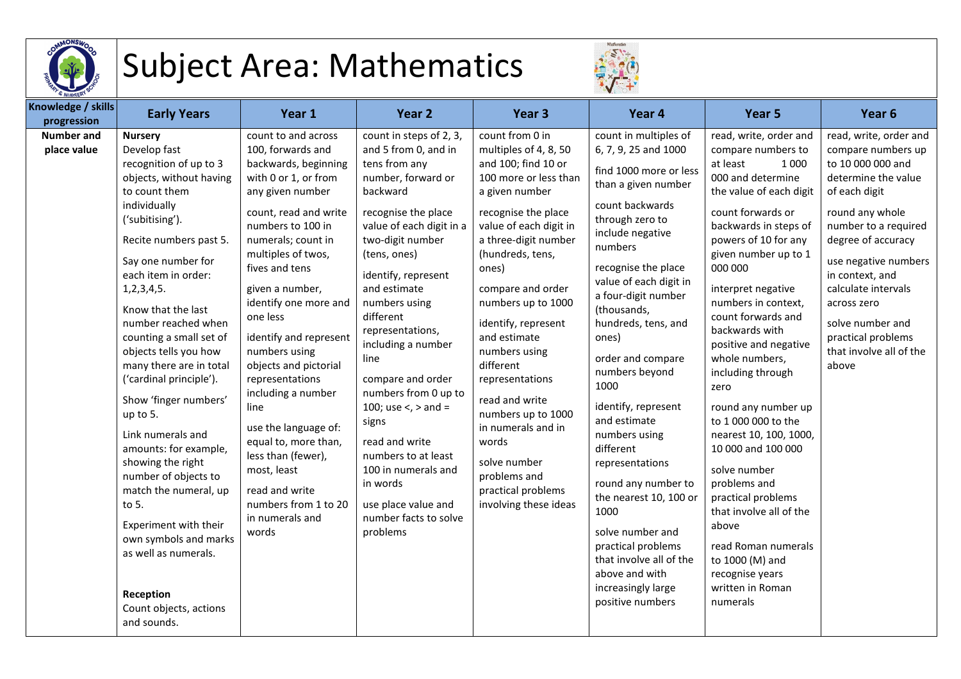

## Subject Area: Mathematics



| Knowledge / skills<br>progression | <b>Early Years</b>                                                                                                                                                                                                                                                                                                                                                                                                                                                                                                                                                                                                                                                                        | Year 1                                                                                                                                                                                                                                                                                                                                                                                                                                                                                                                                                           | Year <sub>2</sub>                                                                                                                                                                                                                                                                                                                                                                                                                                                                                                                     | Year <sub>3</sub>                                                                                                                                                                                                                                                                                                                                                                                                                                                                                         | Year 4                                                                                                                                                                                                                                                                                                                                                                                                                                                                                                                                                                                                                      | Year 5                                                                                                                                                                                                                                                                                                                                                                                                                                                                                                                                                                                                                                                                         | Year <sub>6</sub>                                                                                                                                                                                                                                                                                                                         |
|-----------------------------------|-------------------------------------------------------------------------------------------------------------------------------------------------------------------------------------------------------------------------------------------------------------------------------------------------------------------------------------------------------------------------------------------------------------------------------------------------------------------------------------------------------------------------------------------------------------------------------------------------------------------------------------------------------------------------------------------|------------------------------------------------------------------------------------------------------------------------------------------------------------------------------------------------------------------------------------------------------------------------------------------------------------------------------------------------------------------------------------------------------------------------------------------------------------------------------------------------------------------------------------------------------------------|---------------------------------------------------------------------------------------------------------------------------------------------------------------------------------------------------------------------------------------------------------------------------------------------------------------------------------------------------------------------------------------------------------------------------------------------------------------------------------------------------------------------------------------|-----------------------------------------------------------------------------------------------------------------------------------------------------------------------------------------------------------------------------------------------------------------------------------------------------------------------------------------------------------------------------------------------------------------------------------------------------------------------------------------------------------|-----------------------------------------------------------------------------------------------------------------------------------------------------------------------------------------------------------------------------------------------------------------------------------------------------------------------------------------------------------------------------------------------------------------------------------------------------------------------------------------------------------------------------------------------------------------------------------------------------------------------------|--------------------------------------------------------------------------------------------------------------------------------------------------------------------------------------------------------------------------------------------------------------------------------------------------------------------------------------------------------------------------------------------------------------------------------------------------------------------------------------------------------------------------------------------------------------------------------------------------------------------------------------------------------------------------------|-------------------------------------------------------------------------------------------------------------------------------------------------------------------------------------------------------------------------------------------------------------------------------------------------------------------------------------------|
| <b>Number and</b><br>place value  | <b>Nursery</b><br>Develop fast<br>recognition of up to 3<br>objects, without having<br>to count them<br>individually<br>('subitising').<br>Recite numbers past 5.<br>Say one number for<br>each item in order:<br>1, 2, 3, 4, 5.<br>Know that the last<br>number reached when<br>counting a small set of<br>objects tells you how<br>many there are in total<br>('cardinal principle').<br>Show 'finger numbers'<br>up to 5.<br>Link numerals and<br>amounts: for example,<br>showing the right<br>number of objects to<br>match the numeral, up<br>to 5.<br>Experiment with their<br>own symbols and marks<br>as well as numerals.<br>Reception<br>Count objects, actions<br>and sounds. | count to and across<br>100, forwards and<br>backwards, beginning<br>with 0 or 1, or from<br>any given number<br>count, read and write<br>numbers to 100 in<br>numerals; count in<br>multiples of twos,<br>fives and tens<br>given a number,<br>identify one more and<br>one less<br>identify and represent<br>numbers using<br>objects and pictorial<br>representations<br>including a number<br>line<br>use the language of:<br>equal to, more than,<br>less than (fewer),<br>most, least<br>read and write<br>numbers from 1 to 20<br>in numerals and<br>words | count in steps of 2, 3,<br>and 5 from 0, and in<br>tens from any<br>number, forward or<br>backward<br>recognise the place<br>value of each digit in a<br>two-digit number<br>(tens, ones)<br>identify, represent<br>and estimate<br>numbers using<br>different<br>representations,<br>including a number<br>line<br>compare and order<br>numbers from 0 up to<br>100; use <, > and =<br>signs<br>read and write<br>numbers to at least<br>100 in numerals and<br>in words<br>use place value and<br>number facts to solve<br>problems | count from 0 in<br>multiples of 4, 8, 50<br>and 100; find 10 or<br>100 more or less than<br>a given number<br>recognise the place<br>value of each digit in<br>a three-digit number<br>(hundreds, tens,<br>ones)<br>compare and order<br>numbers up to 1000<br>identify, represent<br>and estimate<br>numbers using<br>different<br>representations<br>read and write<br>numbers up to 1000<br>in numerals and in<br>words<br>solve number<br>problems and<br>practical problems<br>involving these ideas | count in multiples of<br>6, 7, 9, 25 and 1000<br>find 1000 more or less<br>than a given number<br>count backwards<br>through zero to<br>include negative<br>numbers<br>recognise the place<br>value of each digit in<br>a four-digit number<br>(thousands,<br>hundreds, tens, and<br>ones)<br>order and compare<br>numbers beyond<br>1000<br>identify, represent<br>and estimate<br>numbers using<br>different<br>representations<br>round any number to<br>the nearest 10, 100 or<br>1000<br>solve number and<br>practical problems<br>that involve all of the<br>above and with<br>increasingly large<br>positive numbers | read, write, order and<br>compare numbers to<br>at least<br>1 0 0 0<br>000 and determine<br>the value of each digit<br>count forwards or<br>backwards in steps of<br>powers of 10 for any<br>given number up to 1<br>000 000<br>interpret negative<br>numbers in context,<br>count forwards and<br>backwards with<br>positive and negative<br>whole numbers,<br>including through<br>zero<br>round any number up<br>to 1 000 000 to the<br>nearest 10, 100, 1000,<br>10 000 and 100 000<br>solve number<br>problems and<br>practical problems<br>that involve all of the<br>above<br>read Roman numerals<br>to 1000 (M) and<br>recognise years<br>written in Roman<br>numerals | read, write, order and<br>compare numbers up<br>to 10 000 000 and<br>determine the value<br>of each digit<br>round any whole<br>number to a required<br>degree of accuracy<br>use negative numbers<br>in context, and<br>calculate intervals<br>across zero<br>solve number and<br>practical problems<br>that involve all of the<br>above |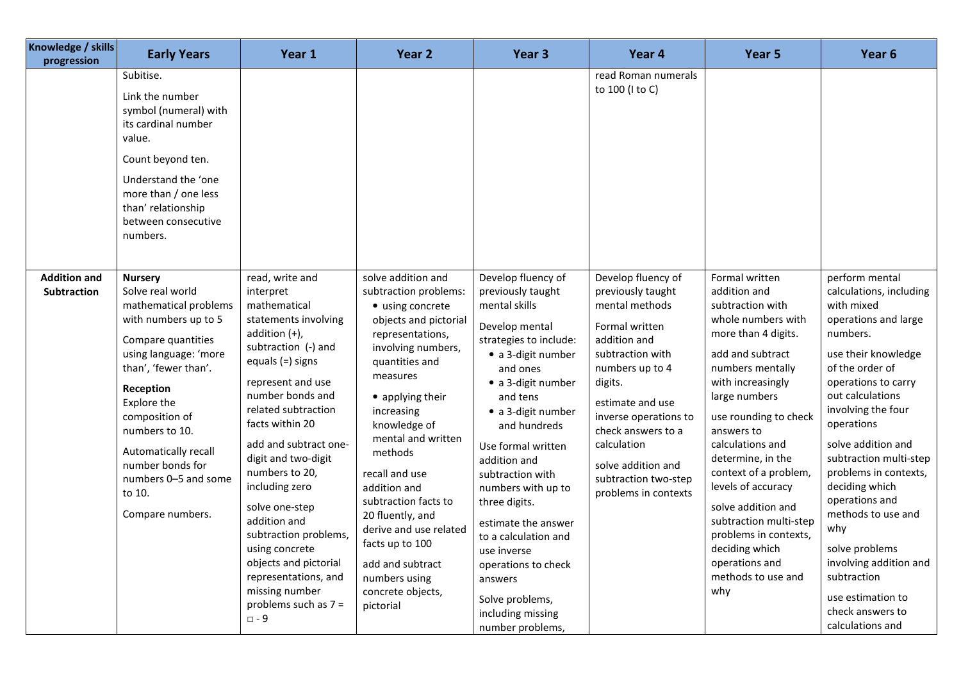| Knowledge / skills<br>progression  | <b>Early Years</b>                                                                                                                                                                                                                                                                                                           | Year 1                                                                                                                                                                                                                                                                                                                                                                                                                                                                                                  | Year <sub>2</sub>                                                                                                                                                                                                                                                                                                                                                                                                                                     | Year <sub>3</sub>                                                                                                                                                                                                                                                                                                                                                                                                                                                           | Year 4                                                                                                                                                                                                                                                                                                | Year 5                                                                                                                                                                                                                                                                                                                                                                                                                                                 | Year <sub>6</sub>                                                                                                                                                                                                                                                                                                                                                                                                                                                                      |
|------------------------------------|------------------------------------------------------------------------------------------------------------------------------------------------------------------------------------------------------------------------------------------------------------------------------------------------------------------------------|---------------------------------------------------------------------------------------------------------------------------------------------------------------------------------------------------------------------------------------------------------------------------------------------------------------------------------------------------------------------------------------------------------------------------------------------------------------------------------------------------------|-------------------------------------------------------------------------------------------------------------------------------------------------------------------------------------------------------------------------------------------------------------------------------------------------------------------------------------------------------------------------------------------------------------------------------------------------------|-----------------------------------------------------------------------------------------------------------------------------------------------------------------------------------------------------------------------------------------------------------------------------------------------------------------------------------------------------------------------------------------------------------------------------------------------------------------------------|-------------------------------------------------------------------------------------------------------------------------------------------------------------------------------------------------------------------------------------------------------------------------------------------------------|--------------------------------------------------------------------------------------------------------------------------------------------------------------------------------------------------------------------------------------------------------------------------------------------------------------------------------------------------------------------------------------------------------------------------------------------------------|----------------------------------------------------------------------------------------------------------------------------------------------------------------------------------------------------------------------------------------------------------------------------------------------------------------------------------------------------------------------------------------------------------------------------------------------------------------------------------------|
|                                    | Subitise.<br>Link the number<br>symbol (numeral) with<br>its cardinal number<br>value.<br>Count beyond ten.<br>Understand the 'one<br>more than / one less<br>than' relationship<br>between consecutive<br>numbers.                                                                                                          |                                                                                                                                                                                                                                                                                                                                                                                                                                                                                                         |                                                                                                                                                                                                                                                                                                                                                                                                                                                       |                                                                                                                                                                                                                                                                                                                                                                                                                                                                             | read Roman numerals<br>to 100 (I to C)                                                                                                                                                                                                                                                                |                                                                                                                                                                                                                                                                                                                                                                                                                                                        |                                                                                                                                                                                                                                                                                                                                                                                                                                                                                        |
| <b>Addition and</b><br>Subtraction | <b>Nursery</b><br>Solve real world<br>mathematical problems<br>with numbers up to 5<br>Compare quantities<br>using language: 'more<br>than', 'fewer than'.<br>Reception<br>Explore the<br>composition of<br>numbers to 10.<br>Automatically recall<br>number bonds for<br>numbers 0-5 and some<br>to 10.<br>Compare numbers. | read, write and<br>interpret<br>mathematical<br>statements involving<br>addition $(+)$ ,<br>subtraction (-) and<br>equals $(=)$ signs<br>represent and use<br>number bonds and<br>related subtraction<br>facts within 20<br>add and subtract one-<br>digit and two-digit<br>numbers to 20,<br>including zero<br>solve one-step<br>addition and<br>subtraction problems,<br>using concrete<br>objects and pictorial<br>representations, and<br>missing number<br>problems such as $7 =$<br>$\square$ - 9 | solve addition and<br>subtraction problems:<br>• using concrete<br>objects and pictorial<br>representations,<br>involving numbers,<br>quantities and<br>measures<br>• applying their<br>increasing<br>knowledge of<br>mental and written<br>methods<br>recall and use<br>addition and<br>subtraction facts to<br>20 fluently, and<br>derive and use related<br>facts up to 100<br>add and subtract<br>numbers using<br>concrete objects,<br>pictorial | Develop fluency of<br>previously taught<br>mental skills<br>Develop mental<br>strategies to include:<br>· a 3-digit number<br>and ones<br>• a 3-digit number<br>and tens<br>• a 3-digit number<br>and hundreds<br>Use formal written<br>addition and<br>subtraction with<br>numbers with up to<br>three digits.<br>estimate the answer<br>to a calculation and<br>use inverse<br>operations to check<br>answers<br>Solve problems,<br>including missing<br>number problems, | Develop fluency of<br>previously taught<br>mental methods<br>Formal written<br>addition and<br>subtraction with<br>numbers up to 4<br>digits.<br>estimate and use<br>inverse operations to<br>check answers to a<br>calculation<br>solve addition and<br>subtraction two-step<br>problems in contexts | Formal written<br>addition and<br>subtraction with<br>whole numbers with<br>more than 4 digits.<br>add and subtract<br>numbers mentally<br>with increasingly<br>large numbers<br>use rounding to check<br>answers to<br>calculations and<br>determine, in the<br>context of a problem,<br>levels of accuracy<br>solve addition and<br>subtraction multi-step<br>problems in contexts,<br>deciding which<br>operations and<br>methods to use and<br>why | perform mental<br>calculations, including<br>with mixed<br>operations and large<br>numbers.<br>use their knowledge<br>of the order of<br>operations to carry<br>out calculations<br>involving the four<br>operations<br>solve addition and<br>subtraction multi-step<br>problems in contexts,<br>deciding which<br>operations and<br>methods to use and<br>why<br>solve problems<br>involving addition and<br>subtraction<br>use estimation to<br>check answers to<br>calculations and |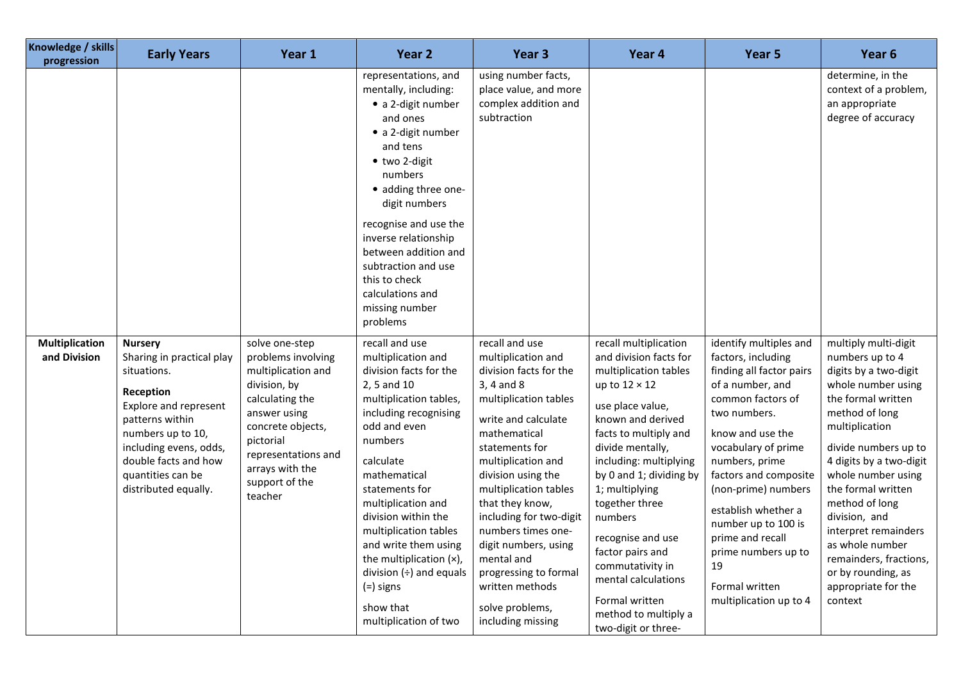| Knowledge / skills<br>progression     | <b>Early Years</b>                                                                                                                                                                                                                      | Year 1                                                                                                                                                                                                                 | Year <sub>2</sub>                                                                                                                                                                                                                                                                                                                                                                                                        | Year <sub>3</sub>                                                                                                                                                                                                                                                                                                                                                                                                                 | Year 4                                                                                                                                                                                                                                                                                                                                                                                                                                          | Year 5                                                                                                                                                                                                                                                                                                                                                                                    | Year 6                                                                                                                                                                                                                                                                                                                                                                                                          |
|---------------------------------------|-----------------------------------------------------------------------------------------------------------------------------------------------------------------------------------------------------------------------------------------|------------------------------------------------------------------------------------------------------------------------------------------------------------------------------------------------------------------------|--------------------------------------------------------------------------------------------------------------------------------------------------------------------------------------------------------------------------------------------------------------------------------------------------------------------------------------------------------------------------------------------------------------------------|-----------------------------------------------------------------------------------------------------------------------------------------------------------------------------------------------------------------------------------------------------------------------------------------------------------------------------------------------------------------------------------------------------------------------------------|-------------------------------------------------------------------------------------------------------------------------------------------------------------------------------------------------------------------------------------------------------------------------------------------------------------------------------------------------------------------------------------------------------------------------------------------------|-------------------------------------------------------------------------------------------------------------------------------------------------------------------------------------------------------------------------------------------------------------------------------------------------------------------------------------------------------------------------------------------|-----------------------------------------------------------------------------------------------------------------------------------------------------------------------------------------------------------------------------------------------------------------------------------------------------------------------------------------------------------------------------------------------------------------|
|                                       |                                                                                                                                                                                                                                         |                                                                                                                                                                                                                        | representations, and<br>mentally, including:<br>• a 2-digit number<br>and ones<br>• a 2-digit number<br>and tens<br>• two 2-digit<br>numbers<br>· adding three one-<br>digit numbers<br>recognise and use the<br>inverse relationship<br>between addition and<br>subtraction and use<br>this to check<br>calculations and<br>missing number<br>problems                                                                  | using number facts,<br>place value, and more<br>complex addition and<br>subtraction                                                                                                                                                                                                                                                                                                                                               |                                                                                                                                                                                                                                                                                                                                                                                                                                                 |                                                                                                                                                                                                                                                                                                                                                                                           | determine, in the<br>context of a problem,<br>an appropriate<br>degree of accuracy                                                                                                                                                                                                                                                                                                                              |
| <b>Multiplication</b><br>and Division | <b>Nursery</b><br>Sharing in practical play<br>situations.<br>Reception<br>Explore and represent<br>patterns within<br>numbers up to 10,<br>including evens, odds,<br>double facts and how<br>quantities can be<br>distributed equally. | solve one-step<br>problems involving<br>multiplication and<br>division, by<br>calculating the<br>answer using<br>concrete objects,<br>pictorial<br>representations and<br>arrays with the<br>support of the<br>teacher | recall and use<br>multiplication and<br>division facts for the<br>2, 5 and 10<br>multiplication tables,<br>including recognising<br>odd and even<br>numbers<br>calculate<br>mathematical<br>statements for<br>multiplication and<br>division within the<br>multiplication tables<br>and write them using<br>the multiplication $(x)$ ,<br>division $(+)$ and equals<br>$(=)$ signs<br>show that<br>multiplication of two | recall and use<br>multiplication and<br>division facts for the<br>3, 4 and 8<br>multiplication tables<br>write and calculate<br>mathematical<br>statements for<br>multiplication and<br>division using the<br>multiplication tables<br>that they know,<br>including for two-digit<br>numbers times one-<br>digit numbers, using<br>mental and<br>progressing to formal<br>written methods<br>solve problems,<br>including missing | recall multiplication<br>and division facts for<br>multiplication tables<br>up to $12 \times 12$<br>use place value,<br>known and derived<br>facts to multiply and<br>divide mentally,<br>including: multiplying<br>by 0 and 1; dividing by<br>1; multiplying<br>together three<br>numbers<br>recognise and use<br>factor pairs and<br>commutativity in<br>mental calculations<br>Formal written<br>method to multiply a<br>two-digit or three- | identify multiples and<br>factors, including<br>finding all factor pairs<br>of a number, and<br>common factors of<br>two numbers.<br>know and use the<br>vocabulary of prime<br>numbers, prime<br>factors and composite<br>(non-prime) numbers<br>establish whether a<br>number up to 100 is<br>prime and recall<br>prime numbers up to<br>19<br>Formal written<br>multiplication up to 4 | multiply multi-digit<br>numbers up to 4<br>digits by a two-digit<br>whole number using<br>the formal written<br>method of long<br>multiplication<br>divide numbers up to<br>4 digits by a two-digit<br>whole number using<br>the formal written<br>method of long<br>division, and<br>interpret remainders<br>as whole number<br>remainders, fractions,<br>or by rounding, as<br>appropriate for the<br>context |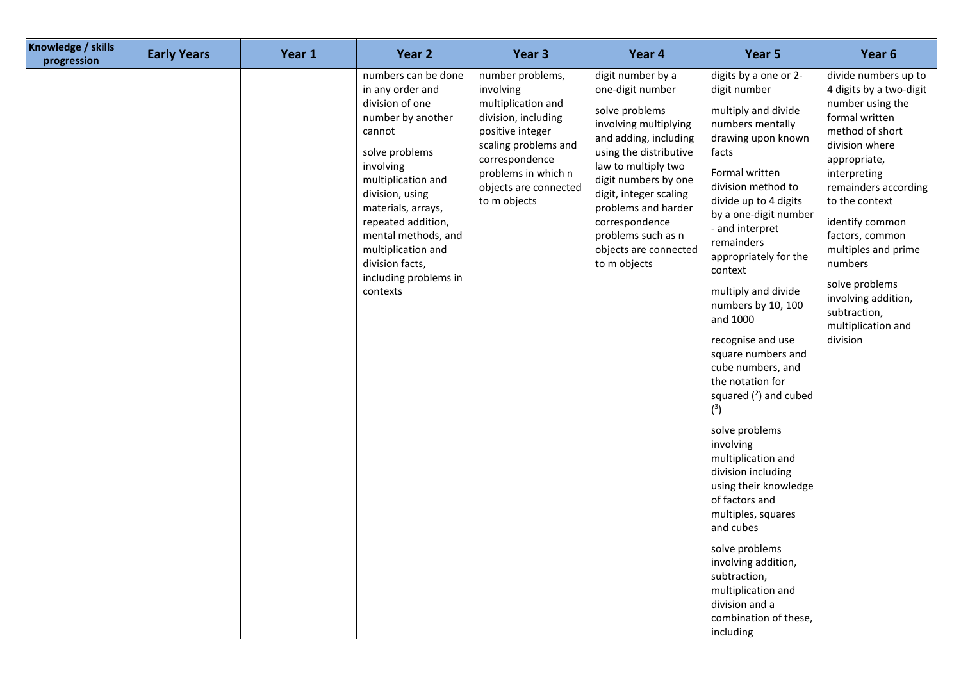| Knowledge / skills<br>progression | <b>Early Years</b> | Year 1 | Year 2                                                                                                                                                                                                                                                                                                             | Year 3                                                                                                                                                                                                   | Year 4                                                                                                                                                                                                                                                                                                               | Year 5                                                                                                                                                                                                                                                                                                                                                                                                                                                                                                                                                                                                                                                                                                                                                                    | Year <sub>6</sub>                                                                                                                                                                                                                                                                                                                                                       |
|-----------------------------------|--------------------|--------|--------------------------------------------------------------------------------------------------------------------------------------------------------------------------------------------------------------------------------------------------------------------------------------------------------------------|----------------------------------------------------------------------------------------------------------------------------------------------------------------------------------------------------------|----------------------------------------------------------------------------------------------------------------------------------------------------------------------------------------------------------------------------------------------------------------------------------------------------------------------|---------------------------------------------------------------------------------------------------------------------------------------------------------------------------------------------------------------------------------------------------------------------------------------------------------------------------------------------------------------------------------------------------------------------------------------------------------------------------------------------------------------------------------------------------------------------------------------------------------------------------------------------------------------------------------------------------------------------------------------------------------------------------|-------------------------------------------------------------------------------------------------------------------------------------------------------------------------------------------------------------------------------------------------------------------------------------------------------------------------------------------------------------------------|
|                                   |                    |        | numbers can be done<br>in any order and<br>division of one<br>number by another<br>cannot<br>solve problems<br>involving<br>multiplication and<br>division, using<br>materials, arrays,<br>repeated addition,<br>mental methods, and<br>multiplication and<br>division facts,<br>including problems in<br>contexts | number problems,<br>involving<br>multiplication and<br>division, including<br>positive integer<br>scaling problems and<br>correspondence<br>problems in which n<br>objects are connected<br>to m objects | digit number by a<br>one-digit number<br>solve problems<br>involving multiplying<br>and adding, including<br>using the distributive<br>law to multiply two<br>digit numbers by one<br>digit, integer scaling<br>problems and harder<br>correspondence<br>problems such as n<br>objects are connected<br>to m objects | digits by a one or 2-<br>digit number<br>multiply and divide<br>numbers mentally<br>drawing upon known<br>facts<br>Formal written<br>division method to<br>divide up to 4 digits<br>by a one-digit number<br>- and interpret<br>remainders<br>appropriately for the<br>context<br>multiply and divide<br>numbers by 10, 100<br>and 1000<br>recognise and use<br>square numbers and<br>cube numbers, and<br>the notation for<br>squared $(^2)$ and cubed<br>$\binom{3}{ }$<br>solve problems<br>involving<br>multiplication and<br>division including<br>using their knowledge<br>of factors and<br>multiples, squares<br>and cubes<br>solve problems<br>involving addition,<br>subtraction,<br>multiplication and<br>division and a<br>combination of these,<br>including | divide numbers up to<br>4 digits by a two-digit<br>number using the<br>formal written<br>method of short<br>division where<br>appropriate,<br>interpreting<br>remainders according<br>to the context<br>identify common<br>factors, common<br>multiples and prime<br>numbers<br>solve problems<br>involving addition,<br>subtraction,<br>multiplication and<br>division |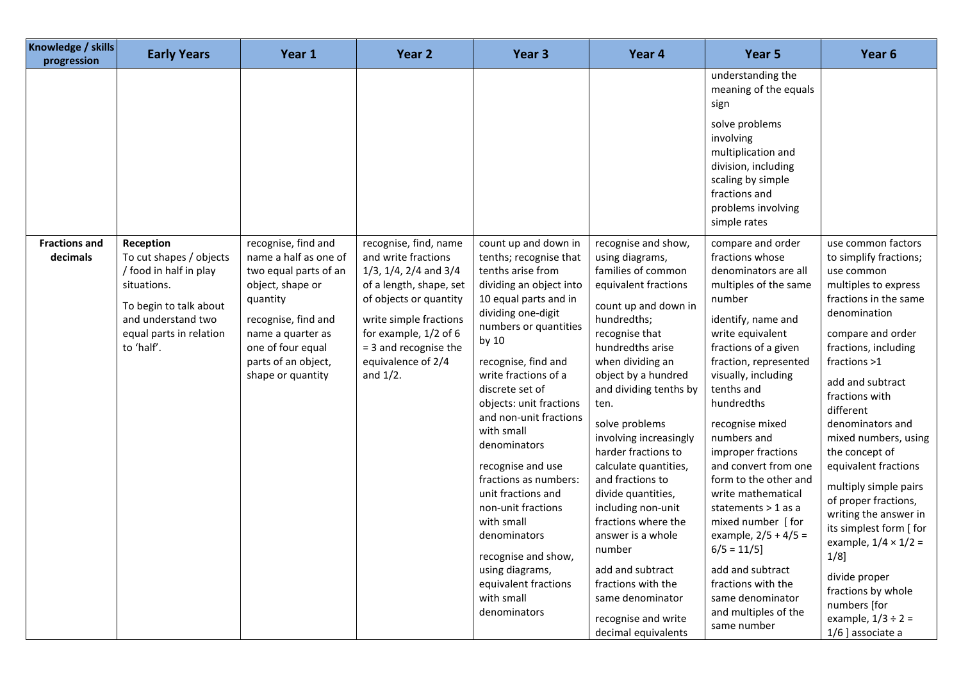| Knowledge / skills<br>progression | <b>Early Years</b>                                                                                                                                                     | Year 1                                                                                                                                                                                                             | Year 2                                                                                                                                                                                                                                                | Year 3                                                                                                                                                                                                                                                                                                                                                                                                                                                                                                                                                       | Year 4                                                                                                                                                                                                                                                                                                                                                                                                                                                                                                                                                                       | Year 5                                                                                                                                                                                                                                                                                                                                                                                                                                                                                                                                                                    | Year <sub>6</sub>                                                                                                                                                                                                                                                                                                                                                                                                                                                                                                                                                                       |
|-----------------------------------|------------------------------------------------------------------------------------------------------------------------------------------------------------------------|--------------------------------------------------------------------------------------------------------------------------------------------------------------------------------------------------------------------|-------------------------------------------------------------------------------------------------------------------------------------------------------------------------------------------------------------------------------------------------------|--------------------------------------------------------------------------------------------------------------------------------------------------------------------------------------------------------------------------------------------------------------------------------------------------------------------------------------------------------------------------------------------------------------------------------------------------------------------------------------------------------------------------------------------------------------|------------------------------------------------------------------------------------------------------------------------------------------------------------------------------------------------------------------------------------------------------------------------------------------------------------------------------------------------------------------------------------------------------------------------------------------------------------------------------------------------------------------------------------------------------------------------------|---------------------------------------------------------------------------------------------------------------------------------------------------------------------------------------------------------------------------------------------------------------------------------------------------------------------------------------------------------------------------------------------------------------------------------------------------------------------------------------------------------------------------------------------------------------------------|-----------------------------------------------------------------------------------------------------------------------------------------------------------------------------------------------------------------------------------------------------------------------------------------------------------------------------------------------------------------------------------------------------------------------------------------------------------------------------------------------------------------------------------------------------------------------------------------|
|                                   |                                                                                                                                                                        |                                                                                                                                                                                                                    |                                                                                                                                                                                                                                                       |                                                                                                                                                                                                                                                                                                                                                                                                                                                                                                                                                              |                                                                                                                                                                                                                                                                                                                                                                                                                                                                                                                                                                              | understanding the<br>meaning of the equals<br>sign<br>solve problems<br>involving<br>multiplication and<br>division, including<br>scaling by simple<br>fractions and<br>problems involving<br>simple rates                                                                                                                                                                                                                                                                                                                                                                |                                                                                                                                                                                                                                                                                                                                                                                                                                                                                                                                                                                         |
| <b>Fractions and</b><br>decimals  | Reception<br>To cut shapes / objects<br>/ food in half in play<br>situations.<br>To begin to talk about<br>and understand two<br>equal parts in relation<br>to 'half'. | recognise, find and<br>name a half as one of<br>two equal parts of an<br>object, shape or<br>quantity<br>recognise, find and<br>name a quarter as<br>one of four equal<br>parts of an object,<br>shape or quantity | recognise, find, name<br>and write fractions<br>$1/3$ , $1/4$ , $2/4$ and $3/4$<br>of a length, shape, set<br>of objects or quantity<br>write simple fractions<br>for example, 1/2 of 6<br>= 3 and recognise the<br>equivalence of 2/4<br>and $1/2$ . | count up and down in<br>tenths; recognise that<br>tenths arise from<br>dividing an object into<br>10 equal parts and in<br>dividing one-digit<br>numbers or quantities<br>by 10<br>recognise, find and<br>write fractions of a<br>discrete set of<br>objects: unit fractions<br>and non-unit fractions<br>with small<br>denominators<br>recognise and use<br>fractions as numbers:<br>unit fractions and<br>non-unit fractions<br>with small<br>denominators<br>recognise and show,<br>using diagrams,<br>equivalent fractions<br>with small<br>denominators | recognise and show,<br>using diagrams,<br>families of common<br>equivalent fractions<br>count up and down in<br>hundredths;<br>recognise that<br>hundredths arise<br>when dividing an<br>object by a hundred<br>and dividing tenths by<br>ten.<br>solve problems<br>involving increasingly<br>harder fractions to<br>calculate quantities,<br>and fractions to<br>divide quantities,<br>including non-unit<br>fractions where the<br>answer is a whole<br>number<br>add and subtract<br>fractions with the<br>same denominator<br>recognise and write<br>decimal equivalents | compare and order<br>fractions whose<br>denominators are all<br>multiples of the same<br>number<br>identify, name and<br>write equivalent<br>fractions of a given<br>fraction, represented<br>visually, including<br>tenths and<br>hundredths<br>recognise mixed<br>numbers and<br>improper fractions<br>and convert from one<br>form to the other and<br>write mathematical<br>statements $>$ 1 as a<br>mixed number [for<br>example, $2/5 + 4/5 =$<br>$6/5 = 11/5$<br>add and subtract<br>fractions with the<br>same denominator<br>and multiples of the<br>same number | use common factors<br>to simplify fractions;<br>use common<br>multiples to express<br>fractions in the same<br>denomination<br>compare and order<br>fractions, including<br>fractions >1<br>add and subtract<br>fractions with<br>different<br>denominators and<br>mixed numbers, using<br>the concept of<br>equivalent fractions<br>multiply simple pairs<br>of proper fractions,<br>writing the answer in<br>its simplest form [ for<br>example, $1/4 \times 1/2 =$<br>$1/8$ ]<br>divide proper<br>fractions by whole<br>numbers [for<br>example, $1/3 \div 2 =$<br>1/6 ] associate a |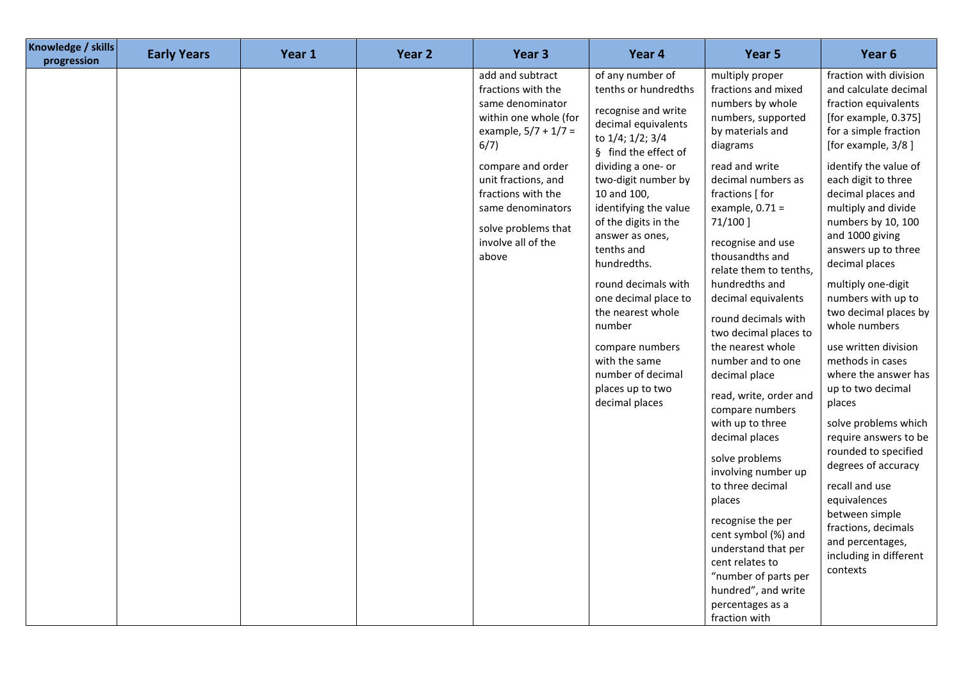| Knowledge / skills<br>progression | <b>Early Years</b> | Year 1 | Year <sub>2</sub> | Year <sub>3</sub>                                                                                                                                                                                                                                                  | Year 4                                                                                                                                                                                                                                                                                                                                                                                                                                                                       | Year 5                                                                                                                                                                                                                                                                                                                                                                                                                                                                                                                                                                                                                                                                                                                                                                | Year <sub>6</sub>                                                                                                                                                                                                                                                                                                                                                                                                                                                                                                                                                                                                                                                                                                                                           |
|-----------------------------------|--------------------|--------|-------------------|--------------------------------------------------------------------------------------------------------------------------------------------------------------------------------------------------------------------------------------------------------------------|------------------------------------------------------------------------------------------------------------------------------------------------------------------------------------------------------------------------------------------------------------------------------------------------------------------------------------------------------------------------------------------------------------------------------------------------------------------------------|-----------------------------------------------------------------------------------------------------------------------------------------------------------------------------------------------------------------------------------------------------------------------------------------------------------------------------------------------------------------------------------------------------------------------------------------------------------------------------------------------------------------------------------------------------------------------------------------------------------------------------------------------------------------------------------------------------------------------------------------------------------------------|-------------------------------------------------------------------------------------------------------------------------------------------------------------------------------------------------------------------------------------------------------------------------------------------------------------------------------------------------------------------------------------------------------------------------------------------------------------------------------------------------------------------------------------------------------------------------------------------------------------------------------------------------------------------------------------------------------------------------------------------------------------|
|                                   |                    |        |                   | add and subtract<br>fractions with the<br>same denominator<br>within one whole (for<br>example, $5/7 + 1/7 =$<br>6/7)<br>compare and order<br>unit fractions, and<br>fractions with the<br>same denominators<br>solve problems that<br>involve all of the<br>above | of any number of<br>tenths or hundredths<br>recognise and write<br>decimal equivalents<br>to 1/4; 1/2; 3/4<br>§ find the effect of<br>dividing a one- or<br>two-digit number by<br>10 and 100,<br>identifying the value<br>of the digits in the<br>answer as ones,<br>tenths and<br>hundredths.<br>round decimals with<br>one decimal place to<br>the nearest whole<br>number<br>compare numbers<br>with the same<br>number of decimal<br>places up to two<br>decimal places | multiply proper<br>fractions and mixed<br>numbers by whole<br>numbers, supported<br>by materials and<br>diagrams<br>read and write<br>decimal numbers as<br>fractions [ for<br>example, $0.71 =$<br>71/100]<br>recognise and use<br>thousandths and<br>relate them to tenths,<br>hundredths and<br>decimal equivalents<br>round decimals with<br>two decimal places to<br>the nearest whole<br>number and to one<br>decimal place<br>read, write, order and<br>compare numbers<br>with up to three<br>decimal places<br>solve problems<br>involving number up<br>to three decimal<br>places<br>recognise the per<br>cent symbol (%) and<br>understand that per<br>cent relates to<br>"number of parts per<br>hundred", and write<br>percentages as a<br>fraction with | fraction with division<br>and calculate decimal<br>fraction equivalents<br>[for example, 0.375]<br>for a simple fraction<br>[for example, 3/8]<br>identify the value of<br>each digit to three<br>decimal places and<br>multiply and divide<br>numbers by 10, 100<br>and 1000 giving<br>answers up to three<br>decimal places<br>multiply one-digit<br>numbers with up to<br>two decimal places by<br>whole numbers<br>use written division<br>methods in cases<br>where the answer has<br>up to two decimal<br>places<br>solve problems which<br>require answers to be<br>rounded to specified<br>degrees of accuracy<br>recall and use<br>equivalences<br>between simple<br>fractions, decimals<br>and percentages,<br>including in different<br>contexts |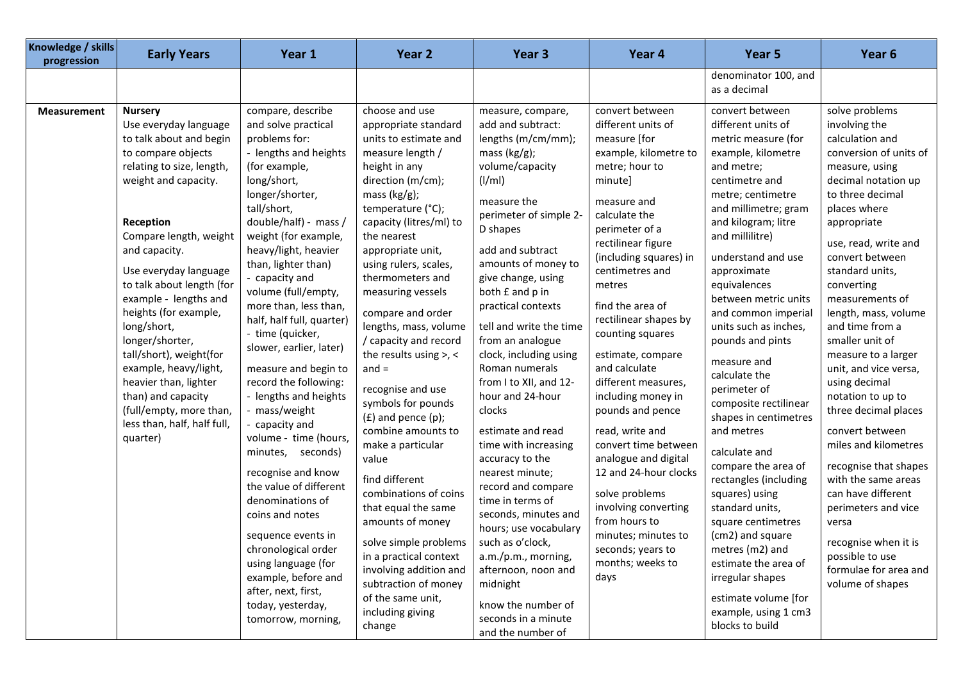| Knowledge / skills<br>progression | <b>Early Years</b>                                                                                                                                                                                                                                                                                                                                                                                                                                                                                                       | Year 1                                                                                                                                                                                                                                                                                                                                                                                                                                                                                                                                                                                                                                                                                                                                                                                                        | Year 2                                                                                                                                                                                                                                                                                                                                                                                                                                                                                                                                                                                                                                                                                                                                                                                    | Year <sub>3</sub>                                                                                                                                                                                                                                                                                                                                                                                                                                                                                                                                                                                                                                                                                                                                           | Year 4                                                                                                                                                                                                                                                                                                                                                                                                                                                                                                                                                                                                                                            | Year 5                                                                                                                                                                                                                                                                                                                                                                                                                                                                                                                                                                                                                                                                                                                                                       | Year <sub>6</sub>                                                                                                                                                                                                                                                                                                                                                                                                                                                                                                                                                                                                                                                                            |
|-----------------------------------|--------------------------------------------------------------------------------------------------------------------------------------------------------------------------------------------------------------------------------------------------------------------------------------------------------------------------------------------------------------------------------------------------------------------------------------------------------------------------------------------------------------------------|---------------------------------------------------------------------------------------------------------------------------------------------------------------------------------------------------------------------------------------------------------------------------------------------------------------------------------------------------------------------------------------------------------------------------------------------------------------------------------------------------------------------------------------------------------------------------------------------------------------------------------------------------------------------------------------------------------------------------------------------------------------------------------------------------------------|-------------------------------------------------------------------------------------------------------------------------------------------------------------------------------------------------------------------------------------------------------------------------------------------------------------------------------------------------------------------------------------------------------------------------------------------------------------------------------------------------------------------------------------------------------------------------------------------------------------------------------------------------------------------------------------------------------------------------------------------------------------------------------------------|-------------------------------------------------------------------------------------------------------------------------------------------------------------------------------------------------------------------------------------------------------------------------------------------------------------------------------------------------------------------------------------------------------------------------------------------------------------------------------------------------------------------------------------------------------------------------------------------------------------------------------------------------------------------------------------------------------------------------------------------------------------|---------------------------------------------------------------------------------------------------------------------------------------------------------------------------------------------------------------------------------------------------------------------------------------------------------------------------------------------------------------------------------------------------------------------------------------------------------------------------------------------------------------------------------------------------------------------------------------------------------------------------------------------------|--------------------------------------------------------------------------------------------------------------------------------------------------------------------------------------------------------------------------------------------------------------------------------------------------------------------------------------------------------------------------------------------------------------------------------------------------------------------------------------------------------------------------------------------------------------------------------------------------------------------------------------------------------------------------------------------------------------------------------------------------------------|----------------------------------------------------------------------------------------------------------------------------------------------------------------------------------------------------------------------------------------------------------------------------------------------------------------------------------------------------------------------------------------------------------------------------------------------------------------------------------------------------------------------------------------------------------------------------------------------------------------------------------------------------------------------------------------------|
|                                   |                                                                                                                                                                                                                                                                                                                                                                                                                                                                                                                          |                                                                                                                                                                                                                                                                                                                                                                                                                                                                                                                                                                                                                                                                                                                                                                                                               |                                                                                                                                                                                                                                                                                                                                                                                                                                                                                                                                                                                                                                                                                                                                                                                           |                                                                                                                                                                                                                                                                                                                                                                                                                                                                                                                                                                                                                                                                                                                                                             |                                                                                                                                                                                                                                                                                                                                                                                                                                                                                                                                                                                                                                                   | denominator 100, and<br>as a decimal                                                                                                                                                                                                                                                                                                                                                                                                                                                                                                                                                                                                                                                                                                                         |                                                                                                                                                                                                                                                                                                                                                                                                                                                                                                                                                                                                                                                                                              |
| <b>Measurement</b>                | <b>Nursery</b><br>Use everyday language<br>to talk about and begin<br>to compare objects<br>relating to size, length,<br>weight and capacity.<br>Reception<br>Compare length, weight<br>and capacity.<br>Use everyday language<br>to talk about length (for<br>example - lengths and<br>heights (for example,<br>long/short,<br>longer/shorter,<br>tall/short), weight(for<br>example, heavy/light,<br>heavier than, lighter<br>than) and capacity<br>(full/empty, more than,<br>less than, half, half full,<br>quarter) | compare, describe<br>and solve practical<br>problems for:<br>- lengths and heights<br>(for example,<br>long/short,<br>longer/shorter,<br>tall/short,<br>double/half) - mass /<br>weight (for example,<br>heavy/light, heavier<br>than, lighter than)<br>- capacity and<br>volume (full/empty,<br>more than, less than,<br>half, half full, quarter)<br>- time (quicker,<br>slower, earlier, later)<br>measure and begin to<br>record the following:<br>- lengths and heights<br>mass/weight<br>capacity and<br>volume - time (hours,<br>minutes, seconds)<br>recognise and know<br>the value of different<br>denominations of<br>coins and notes<br>sequence events in<br>chronological order<br>using language (for<br>example, before and<br>after, next, first,<br>today, yesterday,<br>tomorrow, morning, | choose and use<br>appropriate standard<br>units to estimate and<br>measure length /<br>height in any<br>direction (m/cm);<br>mass $(kg/g)$ ;<br>temperature (°C);<br>capacity (litres/ml) to<br>the nearest<br>appropriate unit,<br>using rulers, scales,<br>thermometers and<br>measuring vessels<br>compare and order<br>lengths, mass, volume<br>/ capacity and record<br>the results using $>$ , <<br>and $=$<br>recognise and use<br>symbols for pounds<br>$(f)$ and pence $(p)$ ;<br>combine amounts to<br>make a particular<br>value<br>find different<br>combinations of coins<br>that equal the same<br>amounts of money<br>solve simple problems<br>in a practical context<br>involving addition and<br>subtraction of money<br>of the same unit,<br>including giving<br>change | measure, compare,<br>add and subtract:<br>lengths (m/cm/mm);<br>mass $(kg/g)$ ;<br>volume/capacity<br>(1/m)<br>measure the<br>perimeter of simple 2-<br>D shapes<br>add and subtract<br>amounts of money to<br>give change, using<br>both £ and p in<br>practical contexts<br>tell and write the time<br>from an analogue<br>clock, including using<br>Roman numerals<br>from I to XII, and 12-<br>hour and 24-hour<br>clocks<br>estimate and read<br>time with increasing<br>accuracy to the<br>nearest minute;<br>record and compare<br>time in terms of<br>seconds, minutes and<br>hours; use vocabulary<br>such as o'clock,<br>a.m./p.m., morning,<br>afternoon, noon and<br>midnight<br>know the number of<br>seconds in a minute<br>and the number of | convert between<br>different units of<br>measure [for<br>example, kilometre to<br>metre; hour to<br>minute]<br>measure and<br>calculate the<br>perimeter of a<br>rectilinear figure<br>(including squares) in<br>centimetres and<br>metres<br>find the area of<br>rectilinear shapes by<br>counting squares<br>estimate, compare<br>and calculate<br>different measures,<br>including money in<br>pounds and pence<br>read, write and<br>convert time between<br>analogue and digital<br>12 and 24-hour clocks<br>solve problems<br>involving converting<br>from hours to<br>minutes; minutes to<br>seconds; years to<br>months; weeks to<br>days | convert between<br>different units of<br>metric measure (for<br>example, kilometre<br>and metre;<br>centimetre and<br>metre; centimetre<br>and millimetre; gram<br>and kilogram; litre<br>and millilitre)<br>understand and use<br>approximate<br>equivalences<br>between metric units<br>and common imperial<br>units such as inches,<br>pounds and pints<br>measure and<br>calculate the<br>perimeter of<br>composite rectilinear<br>shapes in centimetres<br>and metres<br>calculate and<br>compare the area of<br>rectangles (including<br>squares) using<br>standard units,<br>square centimetres<br>(cm2) and square<br>metres (m2) and<br>estimate the area of<br>irregular shapes<br>estimate volume [for<br>example, using 1 cm3<br>blocks to build | solve problems<br>involving the<br>calculation and<br>conversion of units of<br>measure, using<br>decimal notation up<br>to three decimal<br>places where<br>appropriate<br>use, read, write and<br>convert between<br>standard units,<br>converting<br>measurements of<br>length, mass, volume<br>and time from a<br>smaller unit of<br>measure to a larger<br>unit, and vice versa,<br>using decimal<br>notation to up to<br>three decimal places<br>convert between<br>miles and kilometres<br>recognise that shapes<br>with the same areas<br>can have different<br>perimeters and vice<br>versa<br>recognise when it is<br>possible to use<br>formulae for area and<br>volume of shapes |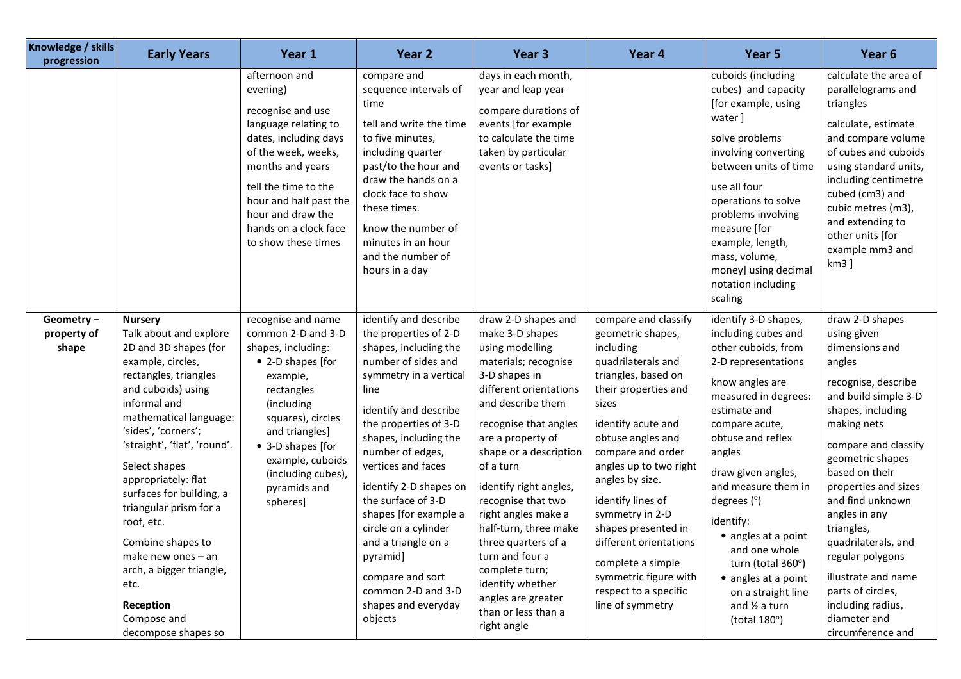| Knowledge / skills<br>progression | <b>Early Years</b>                                                                                                                                                                                                                                                                                                                                                                                                                                                                   | Year 1                                                                                                                                                                                                                                                            | Year <sub>2</sub>                                                                                                                                                                                                                                                                                                                                                                                                                                                     | Year <sub>3</sub>                                                                                                                                                                                                                                                                                                                                                                                                                                                                  | Year 4                                                                                                                                                                                                                                                                                                                                                                                                                                | Year 5                                                                                                                                                                                                                                                                                                                                                                                                                                         | Year <sub>6</sub>                                                                                                                                                                                                                                                                                                                                                                                                                       |
|-----------------------------------|--------------------------------------------------------------------------------------------------------------------------------------------------------------------------------------------------------------------------------------------------------------------------------------------------------------------------------------------------------------------------------------------------------------------------------------------------------------------------------------|-------------------------------------------------------------------------------------------------------------------------------------------------------------------------------------------------------------------------------------------------------------------|-----------------------------------------------------------------------------------------------------------------------------------------------------------------------------------------------------------------------------------------------------------------------------------------------------------------------------------------------------------------------------------------------------------------------------------------------------------------------|------------------------------------------------------------------------------------------------------------------------------------------------------------------------------------------------------------------------------------------------------------------------------------------------------------------------------------------------------------------------------------------------------------------------------------------------------------------------------------|---------------------------------------------------------------------------------------------------------------------------------------------------------------------------------------------------------------------------------------------------------------------------------------------------------------------------------------------------------------------------------------------------------------------------------------|------------------------------------------------------------------------------------------------------------------------------------------------------------------------------------------------------------------------------------------------------------------------------------------------------------------------------------------------------------------------------------------------------------------------------------------------|-----------------------------------------------------------------------------------------------------------------------------------------------------------------------------------------------------------------------------------------------------------------------------------------------------------------------------------------------------------------------------------------------------------------------------------------|
|                                   |                                                                                                                                                                                                                                                                                                                                                                                                                                                                                      | afternoon and<br>evening)<br>recognise and use<br>language relating to<br>dates, including days<br>of the week, weeks,<br>months and years<br>tell the time to the<br>hour and half past the<br>hour and draw the<br>hands on a clock face<br>to show these times | compare and<br>sequence intervals of<br>time<br>tell and write the time<br>to five minutes,<br>including quarter<br>past/to the hour and<br>draw the hands on a<br>clock face to show<br>these times.<br>know the number of<br>minutes in an hour<br>and the number of<br>hours in a day                                                                                                                                                                              | days in each month,<br>year and leap year<br>compare durations of<br>events [for example<br>to calculate the time<br>taken by particular<br>events or tasks]                                                                                                                                                                                                                                                                                                                       |                                                                                                                                                                                                                                                                                                                                                                                                                                       | cuboids (including<br>cubes) and capacity<br>[for example, using<br>water ]<br>solve problems<br>involving converting<br>between units of time<br>use all four<br>operations to solve<br>problems involving<br>measure [for<br>example, length,<br>mass, volume,<br>money] using decimal<br>notation including<br>scaling                                                                                                                      | calculate the area of<br>parallelograms and<br>triangles<br>calculate, estimate<br>and compare volume<br>of cubes and cuboids<br>using standard units,<br>including centimetre<br>cubed (cm3) and<br>cubic metres (m3),<br>and extending to<br>other units [for<br>example mm3 and<br>km3]                                                                                                                                              |
| Geometry-<br>property of<br>shape | <b>Nursery</b><br>Talk about and explore<br>2D and 3D shapes (for<br>example, circles,<br>rectangles, triangles<br>and cuboids) using<br>informal and<br>mathematical language:<br>'sides', 'corners';<br>'straight', 'flat', 'round'.<br>Select shapes<br>appropriately: flat<br>surfaces for building, a<br>triangular prism for a<br>roof, etc.<br>Combine shapes to<br>make new ones - an<br>arch, a bigger triangle,<br>etc.<br>Reception<br>Compose and<br>decompose shapes so | recognise and name<br>common 2-D and 3-D<br>shapes, including:<br>• 2-D shapes [for<br>example,<br>rectangles<br>(including<br>squares), circles<br>and triangles]<br>• 3-D shapes [for<br>example, cuboids<br>(including cubes),<br>pyramids and<br>spheres]     | identify and describe<br>the properties of 2-D<br>shapes, including the<br>number of sides and<br>symmetry in a vertical<br>line<br>identify and describe<br>the properties of 3-D<br>shapes, including the<br>number of edges,<br>vertices and faces<br>identify 2-D shapes on<br>the surface of 3-D<br>shapes [for example a<br>circle on a cylinder<br>and a triangle on a<br>pyramid]<br>compare and sort<br>common 2-D and 3-D<br>shapes and everyday<br>objects | draw 2-D shapes and<br>make 3-D shapes<br>using modelling<br>materials; recognise<br>3-D shapes in<br>different orientations<br>and describe them<br>recognise that angles<br>are a property of<br>shape or a description<br>of a turn<br>identify right angles,<br>recognise that two<br>right angles make a<br>half-turn, three make<br>three quarters of a<br>turn and four a<br>complete turn;<br>identify whether<br>angles are greater<br>than or less than a<br>right angle | compare and classify<br>geometric shapes,<br>including<br>quadrilaterals and<br>triangles, based on<br>their properties and<br>sizes<br>identify acute and<br>obtuse angles and<br>compare and order<br>angles up to two right<br>angles by size.<br>identify lines of<br>symmetry in 2-D<br>shapes presented in<br>different orientations<br>complete a simple<br>symmetric figure with<br>respect to a specific<br>line of symmetry | identify 3-D shapes,<br>including cubes and<br>other cuboids, from<br>2-D representations<br>know angles are<br>measured in degrees:<br>estimate and<br>compare acute,<br>obtuse and reflex<br>angles<br>draw given angles,<br>and measure them in<br>degrees $(°)$<br>identify:<br>• angles at a point<br>and one whole<br>turn (total 360°)<br>• angles at a point<br>on a straight line<br>and $\frac{1}{2}$ a turn<br>(total $180^\circ$ ) | draw 2-D shapes<br>using given<br>dimensions and<br>angles<br>recognise, describe<br>and build simple 3-D<br>shapes, including<br>making nets<br>compare and classify<br>geometric shapes<br>based on their<br>properties and sizes<br>and find unknown<br>angles in any<br>triangles,<br>quadrilaterals, and<br>regular polygons<br>illustrate and name<br>parts of circles,<br>including radius,<br>diameter and<br>circumference and |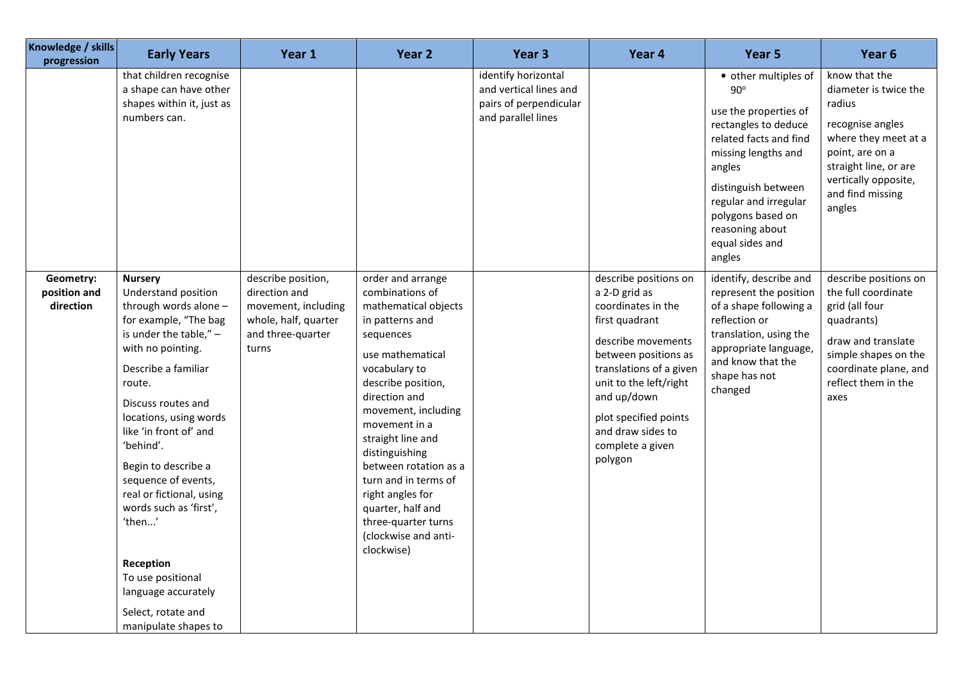| Knowledge / skills<br>progression      | <b>Early Years</b>                                                                                                                                                                                                                                                                                                                                                                                                                                                                    | Year 1                                                                                                           | Year 2                                                                                                                                                                                                                                                                                                                                                                                                         | Year <sub>3</sub>                                                                             | Year 4                                                                                                                                                                                                                                                                        | Year 5                                                                                                                                                                                                                                                              | Year <sub>6</sub>                                                                                                                                                                              |
|----------------------------------------|---------------------------------------------------------------------------------------------------------------------------------------------------------------------------------------------------------------------------------------------------------------------------------------------------------------------------------------------------------------------------------------------------------------------------------------------------------------------------------------|------------------------------------------------------------------------------------------------------------------|----------------------------------------------------------------------------------------------------------------------------------------------------------------------------------------------------------------------------------------------------------------------------------------------------------------------------------------------------------------------------------------------------------------|-----------------------------------------------------------------------------------------------|-------------------------------------------------------------------------------------------------------------------------------------------------------------------------------------------------------------------------------------------------------------------------------|---------------------------------------------------------------------------------------------------------------------------------------------------------------------------------------------------------------------------------------------------------------------|------------------------------------------------------------------------------------------------------------------------------------------------------------------------------------------------|
|                                        | that children recognise<br>a shape can have other<br>shapes within it, just as<br>numbers can.                                                                                                                                                                                                                                                                                                                                                                                        |                                                                                                                  |                                                                                                                                                                                                                                                                                                                                                                                                                | identify horizontal<br>and vertical lines and<br>pairs of perpendicular<br>and parallel lines |                                                                                                                                                                                                                                                                               | • other multiples of<br>$90^\circ$<br>use the properties of<br>rectangles to deduce<br>related facts and find<br>missing lengths and<br>angles<br>distinguish between<br>regular and irregular<br>polygons based on<br>reasoning about<br>equal sides and<br>angles | know that the<br>diameter is twice the<br>radius<br>recognise angles<br>where they meet at a<br>point, are on a<br>straight line, or are<br>vertically opposite,<br>and find missing<br>angles |
| Geometry:<br>position and<br>direction | <b>Nursery</b><br>Understand position<br>through words alone -<br>for example, "The bag<br>is under the table," $-$<br>with no pointing.<br>Describe a familiar<br>route.<br>Discuss routes and<br>locations, using words<br>like 'in front of' and<br>'behind'.<br>Begin to describe a<br>sequence of events,<br>real or fictional, using<br>words such as 'first',<br>'then'<br>Reception<br>To use positional<br>language accurately<br>Select, rotate and<br>manipulate shapes to | describe position,<br>direction and<br>movement, including<br>whole, half, quarter<br>and three-quarter<br>turns | order and arrange<br>combinations of<br>mathematical objects<br>in patterns and<br>sequences<br>use mathematical<br>vocabulary to<br>describe position,<br>direction and<br>movement, including<br>movement in a<br>straight line and<br>distinguishing<br>between rotation as a<br>turn and in terms of<br>right angles for<br>quarter, half and<br>three-quarter turns<br>(clockwise and anti-<br>clockwise) |                                                                                               | describe positions on<br>a 2-D grid as<br>coordinates in the<br>first quadrant<br>describe movements<br>between positions as<br>translations of a given<br>unit to the left/right<br>and up/down<br>plot specified points<br>and draw sides to<br>complete a given<br>polygon | identify, describe and<br>represent the position<br>of a shape following a<br>reflection or<br>translation, using the<br>appropriate language,<br>and know that the<br>shape has not<br>changed                                                                     | describe positions on<br>the full coordinate<br>grid (all four<br>quadrants)<br>draw and translate<br>simple shapes on the<br>coordinate plane, and<br>reflect them in the<br>axes             |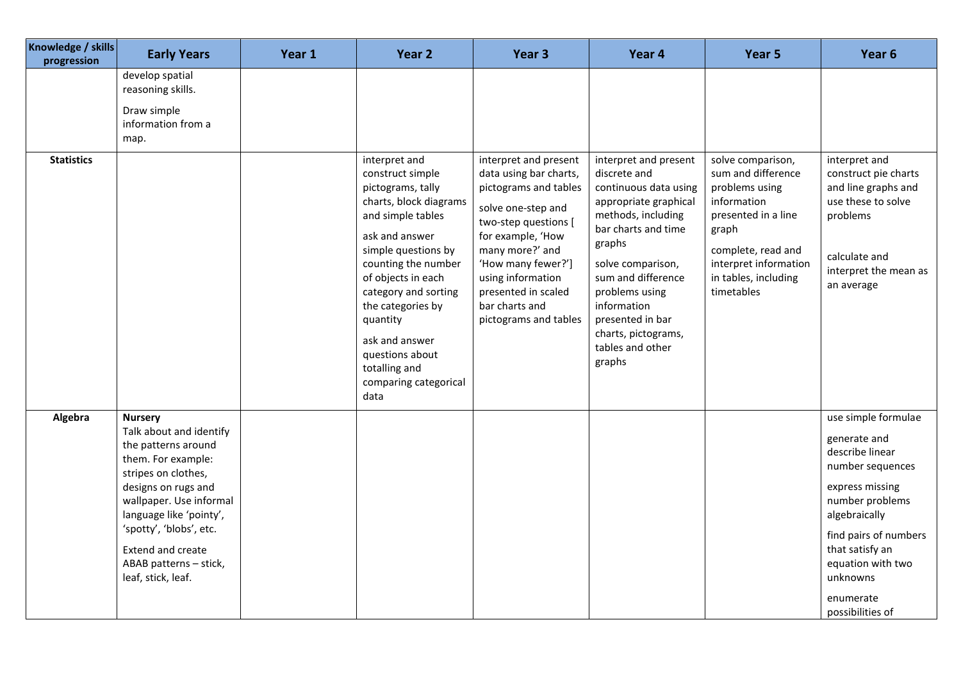| Knowledge / skills<br>progression | <b>Early Years</b>                                                                                                                                                                                                                                                                                | Year 1 | Year 2                                                                                                                                                                                                                                                                                                                                      | Year 3                                                                                                                                                                                                                                                                      | Year 4                                                                                                                                                                                                                                                                                              | Year 5                                                                                                                                                                                        | Year 6                                                                                                                                                                                                                                          |
|-----------------------------------|---------------------------------------------------------------------------------------------------------------------------------------------------------------------------------------------------------------------------------------------------------------------------------------------------|--------|---------------------------------------------------------------------------------------------------------------------------------------------------------------------------------------------------------------------------------------------------------------------------------------------------------------------------------------------|-----------------------------------------------------------------------------------------------------------------------------------------------------------------------------------------------------------------------------------------------------------------------------|-----------------------------------------------------------------------------------------------------------------------------------------------------------------------------------------------------------------------------------------------------------------------------------------------------|-----------------------------------------------------------------------------------------------------------------------------------------------------------------------------------------------|-------------------------------------------------------------------------------------------------------------------------------------------------------------------------------------------------------------------------------------------------|
|                                   | develop spatial<br>reasoning skills.<br>Draw simple<br>information from a<br>map.                                                                                                                                                                                                                 |        |                                                                                                                                                                                                                                                                                                                                             |                                                                                                                                                                                                                                                                             |                                                                                                                                                                                                                                                                                                     |                                                                                                                                                                                               |                                                                                                                                                                                                                                                 |
| <b>Statistics</b>                 |                                                                                                                                                                                                                                                                                                   |        | interpret and<br>construct simple<br>pictograms, tally<br>charts, block diagrams<br>and simple tables<br>ask and answer<br>simple questions by<br>counting the number<br>of objects in each<br>category and sorting<br>the categories by<br>quantity<br>ask and answer<br>questions about<br>totalling and<br>comparing categorical<br>data | interpret and present<br>data using bar charts,<br>pictograms and tables<br>solve one-step and<br>two-step questions [<br>for example, 'How<br>many more?' and<br>'How many fewer?']<br>using information<br>presented in scaled<br>bar charts and<br>pictograms and tables | interpret and present<br>discrete and<br>continuous data using<br>appropriate graphical<br>methods, including<br>bar charts and time<br>graphs<br>solve comparison,<br>sum and difference<br>problems using<br>information<br>presented in bar<br>charts, pictograms,<br>tables and other<br>graphs | solve comparison,<br>sum and difference<br>problems using<br>information<br>presented in a line<br>graph<br>complete, read and<br>interpret information<br>in tables, including<br>timetables | interpret and<br>construct pie charts<br>and line graphs and<br>use these to solve<br>problems<br>calculate and<br>interpret the mean as<br>an average                                                                                          |
| Algebra                           | <b>Nursery</b><br>Talk about and identify<br>the patterns around<br>them. For example:<br>stripes on clothes,<br>designs on rugs and<br>wallpaper. Use informal<br>language like 'pointy',<br>'spotty', 'blobs', etc.<br><b>Extend and create</b><br>ABAB patterns - stick,<br>leaf, stick, leaf. |        |                                                                                                                                                                                                                                                                                                                                             |                                                                                                                                                                                                                                                                             |                                                                                                                                                                                                                                                                                                     |                                                                                                                                                                                               | use simple formulae<br>generate and<br>describe linear<br>number sequences<br>express missing<br>number problems<br>algebraically<br>find pairs of numbers<br>that satisfy an<br>equation with two<br>unknowns<br>enumerate<br>possibilities of |